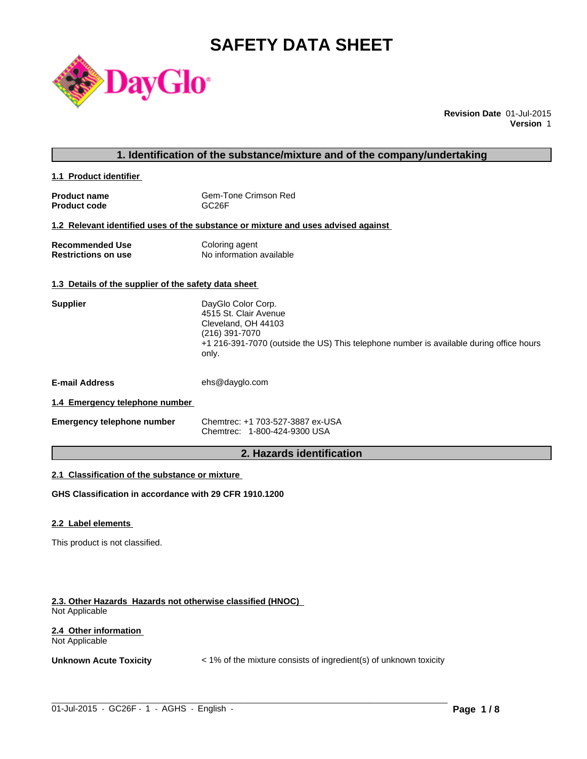# **SAFETY DATA SHEET**



**Revision Date** 01-Jul-2015 **Version** 1

# **1. Identification of the substance/mixture and of the company/undertaking**

**1.1 Product identifier** 

| <b>Product name</b> | Gem-Tone Crimson Red |
|---------------------|----------------------|
| <b>Product code</b> | GC <sub>26</sub> F   |

#### **1.2 Relevant identified uses of the substance or mixture and uses advised against**

| <b>Recommended Use</b>     | Coloring agent           |
|----------------------------|--------------------------|
| <b>Restrictions on use</b> | No information available |

# **1.3 Details of the supplier of the safety data sheet**

| <b>Supplier</b>       | DayGlo Color Corp.<br>4515 St. Clair Avenue<br>Cleveland, OH 44103<br>(216) 391-7070<br>+1 216-391-7070 (outside the US) This telephone number is available during office hours<br>only. |
|-----------------------|------------------------------------------------------------------------------------------------------------------------------------------------------------------------------------------|
| <b>E-mail Address</b> | ehs@dayglo.com                                                                                                                                                                           |
|                       |                                                                                                                                                                                          |

### **1.4 Emergency telephone number**

| <b>Emergency telephone number</b> | Chemtrec: +1 703-527-3887 ex-USA |
|-----------------------------------|----------------------------------|
|                                   | Chemtrec: 1-800-424-9300 USA     |

# **2. Hazards identification**

# **2.1 Classification of the substance or mixture**

**GHS Classification in accordance with 29 CFR 1910.1200**

#### **2.2 Label elements**

This product is not classified.

#### **2.3. Other Hazards Hazards not otherwise classified (HNOC)**  Not Applicable

#### **2.4 Other information**  Not Applicable

**Unknown Acute Toxicity**  $\lt$  1% of the mixture consists of ingredient(s) of unknown toxicity

 $\_$  ,  $\_$  ,  $\_$  ,  $\_$  ,  $\_$  ,  $\_$  ,  $\_$  ,  $\_$  ,  $\_$  ,  $\_$  ,  $\_$  ,  $\_$  ,  $\_$  ,  $\_$  ,  $\_$  ,  $\_$  ,  $\_$  ,  $\_$  ,  $\_$  ,  $\_$  ,  $\_$  ,  $\_$  ,  $\_$  ,  $\_$  ,  $\_$  ,  $\_$  ,  $\_$  ,  $\_$  ,  $\_$  ,  $\_$  ,  $\_$  ,  $\_$  ,  $\_$  ,  $\_$  ,  $\_$  ,  $\_$  ,  $\_$  ,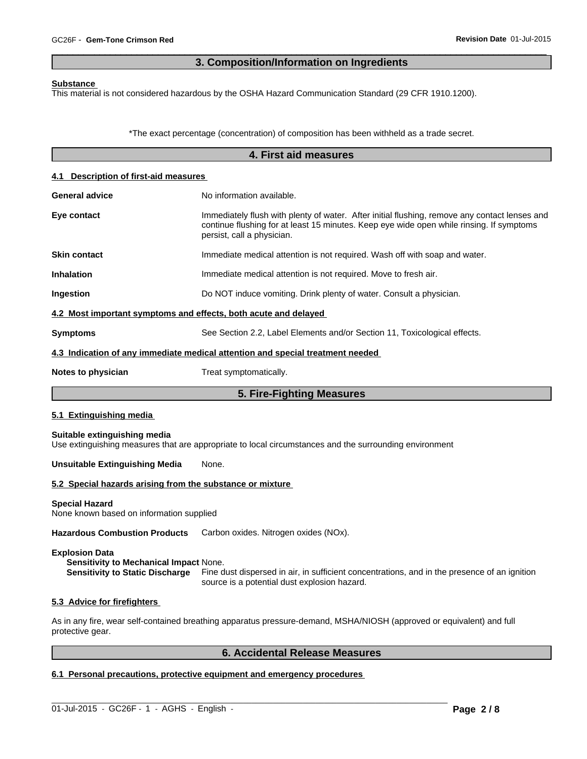# **3. Composition/Information on Ingredients**

 $\overline{\phantom{a}}$  ,  $\overline{\phantom{a}}$  ,  $\overline{\phantom{a}}$  ,  $\overline{\phantom{a}}$  ,  $\overline{\phantom{a}}$  ,  $\overline{\phantom{a}}$  ,  $\overline{\phantom{a}}$  ,  $\overline{\phantom{a}}$  ,  $\overline{\phantom{a}}$  ,  $\overline{\phantom{a}}$  ,  $\overline{\phantom{a}}$  ,  $\overline{\phantom{a}}$  ,  $\overline{\phantom{a}}$  ,  $\overline{\phantom{a}}$  ,  $\overline{\phantom{a}}$  ,  $\overline{\phantom{a}}$ 

#### **Substance**

This material is not considered hazardous by the OSHA Hazard Communication Standard (29 CFR 1910.1200).

\*The exact percentage (concentration) of composition has been withheld as a trade secret.

|                                                                   | 4. First aid measures                                                                                                                                                                                                   |
|-------------------------------------------------------------------|-------------------------------------------------------------------------------------------------------------------------------------------------------------------------------------------------------------------------|
| 4.1 Description of first-aid measures                             |                                                                                                                                                                                                                         |
| <b>General advice</b>                                             | No information available.                                                                                                                                                                                               |
| Eye contact                                                       | Immediately flush with plenty of water. After initial flushing, remove any contact lenses and<br>continue flushing for at least 15 minutes. Keep eye wide open while rinsing. If symptoms<br>persist, call a physician. |
| <b>Skin contact</b>                                               | Immediate medical attention is not required. Wash off with soap and water.                                                                                                                                              |
| Inhalation                                                        | Immediate medical attention is not required. Move to fresh air.                                                                                                                                                         |
| Ingestion                                                         | Do NOT induce vomiting. Drink plenty of water. Consult a physician.                                                                                                                                                     |
| 4.2 Most important symptoms and effects, both acute and delayed   |                                                                                                                                                                                                                         |
| <b>Symptoms</b>                                                   | See Section 2.2, Label Elements and/or Section 11, Toxicological effects.                                                                                                                                               |
|                                                                   | 4.3 Indication of any immediate medical attention and special treatment needed                                                                                                                                          |
| Notes to physician                                                | Treat symptomatically.                                                                                                                                                                                                  |
|                                                                   | 5. Fire-Fighting Measures                                                                                                                                                                                               |
| 5.1 Extinguishing media                                           |                                                                                                                                                                                                                         |
| Suitable extinguishing media                                      | Use extinguishing measures that are appropriate to local circumstances and the surrounding environment                                                                                                                  |
| <b>Unsuitable Extinguishing Media</b>                             | None.                                                                                                                                                                                                                   |
| 5.2 Special hazards arising from the substance or mixture         |                                                                                                                                                                                                                         |
| <b>Special Hazard</b><br>None known based on information supplied |                                                                                                                                                                                                                         |
| <b>Hazardous Combustion Products</b>                              | Carbon oxides. Nitrogen oxides (NOx).                                                                                                                                                                                   |
| <b>Explosion Data</b>                                             |                                                                                                                                                                                                                         |

**Sensitivity to Mechanical Impact None.**<br>**Sensitivity to Static Discharge** Fine d Fine dust dispersed in air, in sufficient concentrations, and in the presence of an ignition source is a potential dust explosion hazard.

#### **5.3 Advice for firefighters**

As in any fire, wear self-contained breathing apparatus pressure-demand, MSHA/NIOSH (approved or equivalent) and full protective gear.

 $\_$  ,  $\_$  ,  $\_$  ,  $\_$  ,  $\_$  ,  $\_$  ,  $\_$  ,  $\_$  ,  $\_$  ,  $\_$  ,  $\_$  ,  $\_$  ,  $\_$  ,  $\_$  ,  $\_$  ,  $\_$  ,  $\_$  ,  $\_$  ,  $\_$  ,  $\_$  ,  $\_$  ,  $\_$  ,  $\_$  ,  $\_$  ,  $\_$  ,  $\_$  ,  $\_$  ,  $\_$  ,  $\_$  ,  $\_$  ,  $\_$  ,  $\_$  ,  $\_$  ,  $\_$  ,  $\_$  ,  $\_$  ,  $\_$  ,

# **6. Accidental Release Measures**

# **6.1 Personal precautions, protective equipment and emergency procedures**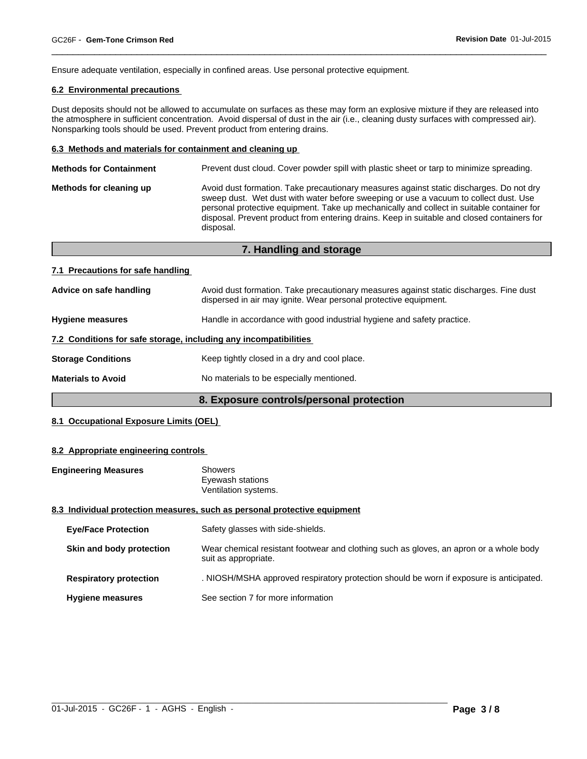Ensure adequate ventilation, especially in confined areas. Use personal protective equipment.

# **6.2 Environmental precautions**

Dust deposits should not be allowed to accumulate on surfaces as these may form an explosive mixture if they are released into the atmosphere in sufficient concentration. Avoid dispersal of dust in the air (i.e., cleaning dusty surfaces with compressed air). Nonsparking tools should be used. Prevent product from entering drains.

 $\overline{\phantom{a}}$  ,  $\overline{\phantom{a}}$  ,  $\overline{\phantom{a}}$  ,  $\overline{\phantom{a}}$  ,  $\overline{\phantom{a}}$  ,  $\overline{\phantom{a}}$  ,  $\overline{\phantom{a}}$  ,  $\overline{\phantom{a}}$  ,  $\overline{\phantom{a}}$  ,  $\overline{\phantom{a}}$  ,  $\overline{\phantom{a}}$  ,  $\overline{\phantom{a}}$  ,  $\overline{\phantom{a}}$  ,  $\overline{\phantom{a}}$  ,  $\overline{\phantom{a}}$  ,  $\overline{\phantom{a}}$ 

#### **6.3 Methods and materials for containment and cleaning up**

| <b>Methods for Containment</b> | Prevent dust cloud. Cover powder spill with plastic sheet or tarp to minimize spreading.                                                                                                                                                                                                                                                                                                |
|--------------------------------|-----------------------------------------------------------------------------------------------------------------------------------------------------------------------------------------------------------------------------------------------------------------------------------------------------------------------------------------------------------------------------------------|
| Methods for cleaning up        | Avoid dust formation. Take precautionary measures against static discharges. Do not dry<br>sweep dust. Wet dust with water before sweeping or use a vacuum to collect dust. Use<br>personal protective equipment. Take up mechanically and collect in suitable container for<br>disposal. Prevent product from entering drains. Keep in suitable and closed containers for<br>disposal. |
|                                |                                                                                                                                                                                                                                                                                                                                                                                         |

**7. Handling and storage**

| 7. Handling and storage                                          |                                                                                                                                                            |
|------------------------------------------------------------------|------------------------------------------------------------------------------------------------------------------------------------------------------------|
| 7.1 Precautions for safe handling                                |                                                                                                                                                            |
| Advice on safe handling                                          | Avoid dust formation. Take precautionary measures against static discharges. Fine dust<br>dispersed in air may ignite. Wear personal protective equipment. |
| <b>Hygiene measures</b>                                          | Handle in accordance with good industrial hygiene and safety practice.                                                                                     |
| 7.2 Conditions for safe storage, including any incompatibilities |                                                                                                                                                            |
| <b>Storage Conditions</b>                                        | Keep tightly closed in a dry and cool place.                                                                                                               |
| <b>Materials to Avoid</b>                                        | No materials to be especially mentioned.                                                                                                                   |

# **8. Exposure controls/personal protection**

# **8.1 Occupational Exposure Limits (OEL)**

#### **8.2 Appropriate engineering controls**

| <b>Engineering Measures</b> | Showers                                                                   |  |
|-----------------------------|---------------------------------------------------------------------------|--|
|                             | Eyewash stations                                                          |  |
|                             | Ventilation systems.                                                      |  |
|                             | 8.3 Individual protection measures, such as personal protective equipment |  |

# **8.3 Individual protection measures, such as personal protective equipment**

| <b>Eye/Face Protection</b>    | Safety glasses with side-shields.                                                                              |
|-------------------------------|----------------------------------------------------------------------------------------------------------------|
| Skin and body protection      | Wear chemical resistant footwear and clothing such as gloves, an apron or a whole body<br>suit as appropriate. |
| <b>Respiratory protection</b> | . NIOSH/MSHA approved respiratory protection should be worn if exposure is anticipated.                        |
| <b>Hygiene measures</b>       | See section 7 for more information                                                                             |

 $\_$  ,  $\_$  ,  $\_$  ,  $\_$  ,  $\_$  ,  $\_$  ,  $\_$  ,  $\_$  ,  $\_$  ,  $\_$  ,  $\_$  ,  $\_$  ,  $\_$  ,  $\_$  ,  $\_$  ,  $\_$  ,  $\_$  ,  $\_$  ,  $\_$  ,  $\_$  ,  $\_$  ,  $\_$  ,  $\_$  ,  $\_$  ,  $\_$  ,  $\_$  ,  $\_$  ,  $\_$  ,  $\_$  ,  $\_$  ,  $\_$  ,  $\_$  ,  $\_$  ,  $\_$  ,  $\_$  ,  $\_$  ,  $\_$  ,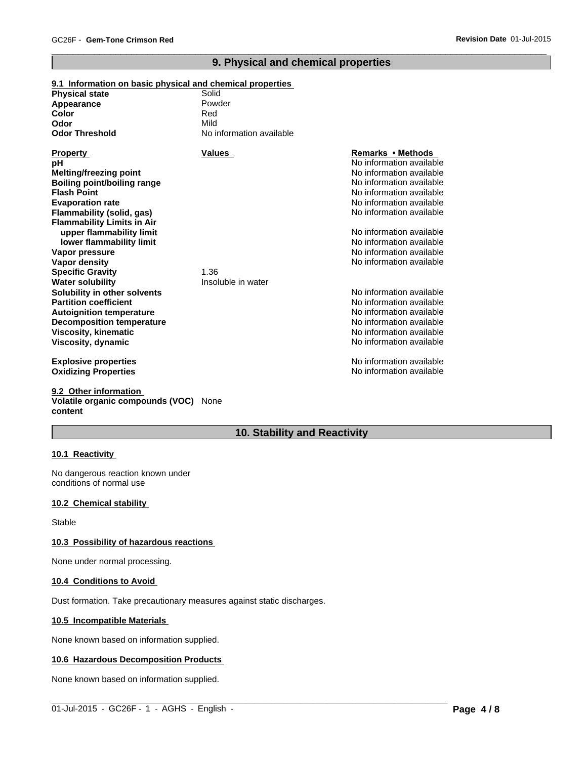# **9. Physical and chemical properties**

 $\overline{\phantom{a}}$  ,  $\overline{\phantom{a}}$  ,  $\overline{\phantom{a}}$  ,  $\overline{\phantom{a}}$  ,  $\overline{\phantom{a}}$  ,  $\overline{\phantom{a}}$  ,  $\overline{\phantom{a}}$  ,  $\overline{\phantom{a}}$  ,  $\overline{\phantom{a}}$  ,  $\overline{\phantom{a}}$  ,  $\overline{\phantom{a}}$  ,  $\overline{\phantom{a}}$  ,  $\overline{\phantom{a}}$  ,  $\overline{\phantom{a}}$  ,  $\overline{\phantom{a}}$  ,  $\overline{\phantom{a}}$ 

# **9.1 Information on basic physical and chemical properties**

| <b>Physical state</b><br>Appearance<br>Color<br>Odor<br><b>Odor Threshold</b>                                                                                                            | Solid<br>Powder<br>Red<br>Mild<br>No information available |                                                                                                                                                                                           |
|------------------------------------------------------------------------------------------------------------------------------------------------------------------------------------------|------------------------------------------------------------|-------------------------------------------------------------------------------------------------------------------------------------------------------------------------------------------|
| <b>Property</b><br>pН<br><b>Melting/freezing point</b><br>Boiling point/boiling range<br><b>Flash Point</b><br><b>Evaporation rate</b><br>Flammability (solid, gas)                      | <b>Values</b>                                              | Remarks • Methods<br>No information available<br>No information available<br>No information available<br>No information available<br>No information available<br>No information available |
| <b>Flammability Limits in Air</b><br>upper flammability limit<br>lower flammability limit<br>Vapor pressure<br>Vapor density<br><b>Specific Gravity</b><br><b>Water solubility</b>       | 1.36<br>Insoluble in water                                 | No information available<br>No information available<br>No information available<br>No information available                                                                              |
| Solubility in other solvents<br><b>Partition coefficient</b><br><b>Autoignition temperature</b><br><b>Decomposition temperature</b><br><b>Viscosity, kinematic</b><br>Viscosity, dynamic |                                                            | No information available<br>No information available<br>No information available<br>No information available<br>No information available<br>No information available                      |
| <b>Explosive properties</b><br><b>Oxidizing Properties</b>                                                                                                                               |                                                            | No information available<br>No information available                                                                                                                                      |

#### **9.2 Other information Volatile organic compounds (VOC)** None **content**

# **10. Stability and Reactivity**

 $\_$  ,  $\_$  ,  $\_$  ,  $\_$  ,  $\_$  ,  $\_$  ,  $\_$  ,  $\_$  ,  $\_$  ,  $\_$  ,  $\_$  ,  $\_$  ,  $\_$  ,  $\_$  ,  $\_$  ,  $\_$  ,  $\_$  ,  $\_$  ,  $\_$  ,  $\_$  ,  $\_$  ,  $\_$  ,  $\_$  ,  $\_$  ,  $\_$  ,  $\_$  ,  $\_$  ,  $\_$  ,  $\_$  ,  $\_$  ,  $\_$  ,  $\_$  ,  $\_$  ,  $\_$  ,  $\_$  ,  $\_$  ,  $\_$  ,

# **10.1 Reactivity**

No dangerous reaction known under conditions of normal use

#### **10.2 Chemical stability**

Stable

#### **10.3 Possibility of hazardous reactions**

None under normal processing.

#### **10.4 Conditions to Avoid**

Dust formation. Take precautionary measures against static discharges.

#### **10.5 Incompatible Materials**

None known based on information supplied.

#### **10.6 Hazardous Decomposition Products**

None known based on information supplied.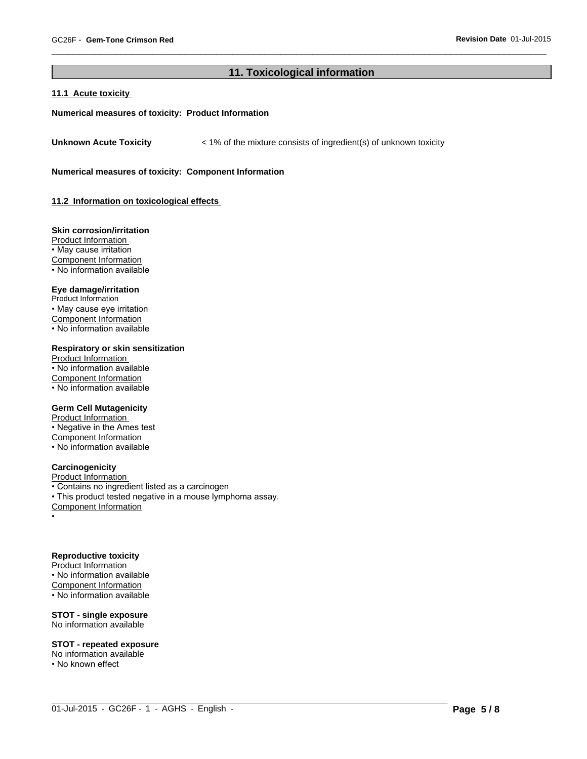# **11. Toxicological information**

 $\_$  ,  $\_$  ,  $\_$  ,  $\_$  ,  $\_$  ,  $\_$  ,  $\_$  ,  $\_$  ,  $\_$  ,  $\_$  ,  $\_$  ,  $\_$  ,  $\_$  ,  $\_$  ,  $\_$  ,  $\_$  ,  $\_$  ,  $\_$  ,  $\_$  ,  $\_$  ,  $\_$  ,  $\_$  ,  $\_$  ,  $\_$  ,  $\_$  ,  $\_$  ,  $\_$  ,  $\_$  ,  $\_$  ,  $\_$  ,  $\_$  ,  $\_$  ,  $\_$  ,  $\_$  ,  $\_$  ,  $\_$  ,  $\_$  ,

 $\overline{\phantom{a}}$  ,  $\overline{\phantom{a}}$  ,  $\overline{\phantom{a}}$  ,  $\overline{\phantom{a}}$  ,  $\overline{\phantom{a}}$  ,  $\overline{\phantom{a}}$  ,  $\overline{\phantom{a}}$  ,  $\overline{\phantom{a}}$  ,  $\overline{\phantom{a}}$  ,  $\overline{\phantom{a}}$  ,  $\overline{\phantom{a}}$  ,  $\overline{\phantom{a}}$  ,  $\overline{\phantom{a}}$  ,  $\overline{\phantom{a}}$  ,  $\overline{\phantom{a}}$  ,  $\overline{\phantom{a}}$ 

#### **11.1 Acute toxicity**

#### **Numerical measures of toxicity: Product Information**

**Unknown Acute Toxicity** < 1% of the mixture consists of ingredient(s) of unknown toxicity

**Numerical measures of toxicity: Component Information**

**11.2 Information on toxicological effects** 

#### **Skin corrosion/irritation**

Product Information • May cause irritation Component Information • No information available

# **Eye damage/irritation**

Product Information • May cause eye irritation Component Information • No information available

#### **Respiratory or skin sensitization**

Product Information • No information available Component Information • No information available

# **Germ Cell Mutagenicity**

Product Information • Negative in the Ames test Component Information • No information available

#### **Carcinogenicity**

Product Information

• Contains no ingredient listed as a carcinogen

• This product tested negative in a mouse lymphoma assay.

Component Information

•

# **Reproductive toxicity**

Product Information • No information available Component Information

• No information available

#### **STOT - single exposure**

No information available

#### **STOT - repeated exposure**

No information available • No known effect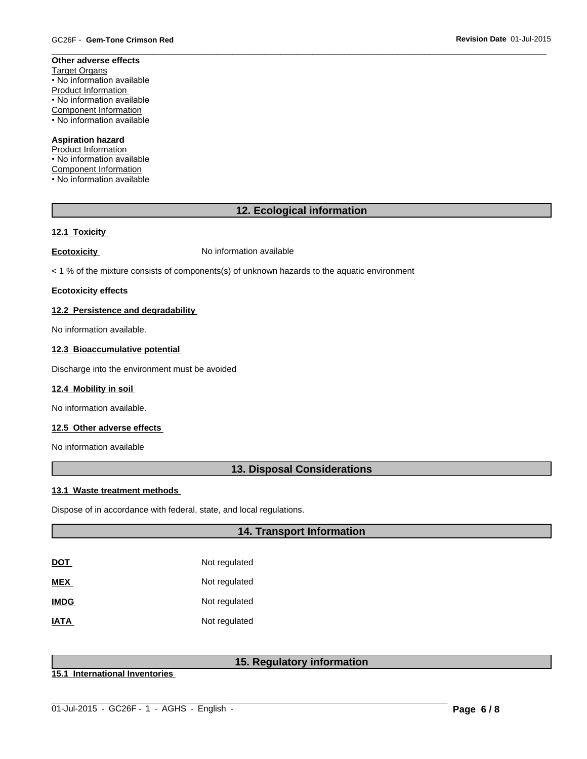#### **Other adverse effects** Target Organs • No information available Product Information • No information available Component Information • No information available

# **Aspiration hazard**

Product Information • No information available Component Information • No information available

# **12. Ecological information**

 $\overline{\phantom{a}}$  ,  $\overline{\phantom{a}}$  ,  $\overline{\phantom{a}}$  ,  $\overline{\phantom{a}}$  ,  $\overline{\phantom{a}}$  ,  $\overline{\phantom{a}}$  ,  $\overline{\phantom{a}}$  ,  $\overline{\phantom{a}}$  ,  $\overline{\phantom{a}}$  ,  $\overline{\phantom{a}}$  ,  $\overline{\phantom{a}}$  ,  $\overline{\phantom{a}}$  ,  $\overline{\phantom{a}}$  ,  $\overline{\phantom{a}}$  ,  $\overline{\phantom{a}}$  ,  $\overline{\phantom{a}}$ 

# **12.1 Toxicity**

**Ecotoxicity No information available** 

< 1 % of the mixture consists of components(s) of unknown hazards to the aquatic environment

#### **Ecotoxicity effects**

#### **12.2 Persistence and degradability**

No information available.

# **12.3 Bioaccumulative potential**

Discharge into the environment must be avoided

#### **12.4 Mobility in soil**

No information available.

### **12.5 Other adverse effects**

No information available

# **13. Disposal Considerations**

#### **13.1 Waste treatment methods**

Dispose of in accordance with federal, state, and local regulations.

# **14. Transport Information**

| <u>DOT</u>  | Not regulated |
|-------------|---------------|
| MEX         | Not regulated |
| <b>IMDG</b> | Not regulated |
| <b>ATAI</b> | Not regulated |

# **15. Regulatory information**

**15.1 International Inventories**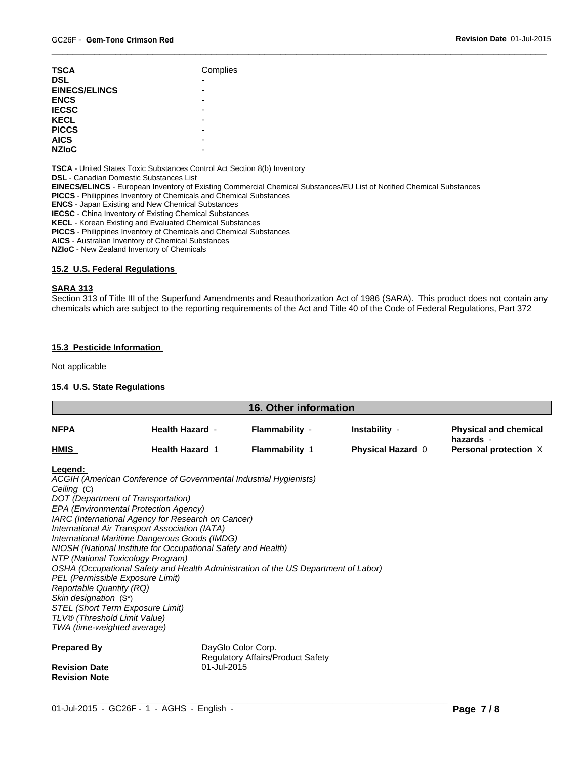| <b>ENCS</b><br>-<br><b>IECSC</b><br>-<br><b>KECL</b><br>-<br><b>PICCS</b><br>-<br><b>AICS</b><br>- | <b>TSCA</b><br><b>DSL</b><br><b>EINECS/ELINCS</b> | Complies<br>$\overline{\phantom{0}}$<br>- |
|----------------------------------------------------------------------------------------------------|---------------------------------------------------|-------------------------------------------|
|----------------------------------------------------------------------------------------------------|---------------------------------------------------|-------------------------------------------|

**TSCA** - United States Toxic Substances Control Act Section 8(b) Inventory

**DSL** - Canadian Domestic Substances List

**EINECS/ELINCS** - European Inventory of Existing Commercial Chemical Substances/EU List of Notified Chemical Substances

**PICCS** - Philippines Inventory of Chemicals and Chemical Substances

**ENCS** - Japan Existing and New Chemical Substances

**IECSC** - China Inventory of Existing Chemical Substances

**KECL** - Korean Existing and Evaluated Chemical Substances

**PICCS** - Philippines Inventory of Chemicals and Chemical Substances

**AICS** - Australian Inventory of Chemical Substances

**NZIoC** - New Zealand Inventory of Chemicals

# **15.2 U.S. Federal Regulations**

#### **SARA 313**

Section 313 of Title III of the Superfund Amendments and Reauthorization Act of 1986 (SARA). This product does not contain any chemicals which are subject to the reporting requirements of the Act and Title 40 of the Code of Federal Regulations, Part 372

 $\overline{\phantom{a}}$  ,  $\overline{\phantom{a}}$  ,  $\overline{\phantom{a}}$  ,  $\overline{\phantom{a}}$  ,  $\overline{\phantom{a}}$  ,  $\overline{\phantom{a}}$  ,  $\overline{\phantom{a}}$  ,  $\overline{\phantom{a}}$  ,  $\overline{\phantom{a}}$  ,  $\overline{\phantom{a}}$  ,  $\overline{\phantom{a}}$  ,  $\overline{\phantom{a}}$  ,  $\overline{\phantom{a}}$  ,  $\overline{\phantom{a}}$  ,  $\overline{\phantom{a}}$  ,  $\overline{\phantom{a}}$ 

#### **15.3 Pesticide Information**

Not applicable

#### **15.4 U.S. State Regulations**

| <b>16. Other information</b>                                                                                                                                                                                                                                                                         |                                                                                                                                                                                                                                                                                                                                                                                                                            |                                                         |                                           |                                                                    |
|------------------------------------------------------------------------------------------------------------------------------------------------------------------------------------------------------------------------------------------------------------------------------------------------------|----------------------------------------------------------------------------------------------------------------------------------------------------------------------------------------------------------------------------------------------------------------------------------------------------------------------------------------------------------------------------------------------------------------------------|---------------------------------------------------------|-------------------------------------------|--------------------------------------------------------------------|
| <b>NFPA</b>                                                                                                                                                                                                                                                                                          | <b>Health Hazard -</b><br><b>Health Hazard 1</b>                                                                                                                                                                                                                                                                                                                                                                           | Flammability -<br><b>Flammability 1</b>                 | Instability -<br><b>Physical Hazard 0</b> | <b>Physical and chemical</b><br>hazards -<br>Personal protection X |
| <b>HMIS</b>                                                                                                                                                                                                                                                                                          |                                                                                                                                                                                                                                                                                                                                                                                                                            |                                                         |                                           |                                                                    |
| Legend:<br>Ceiling (C)<br>DOT (Department of Transportation)<br>NTP (National Toxicology Program)<br>PEL (Permissible Exposure Limit)<br><b>Reportable Quantity (RQ)</b><br>Skin designation (S*)<br>STEL (Short Term Exposure Limit)<br>TLV® (Threshold Limit Value)<br>TWA (time-weighted average) | ACGIH (American Conference of Governmental Industrial Hygienists)<br>EPA (Environmental Protection Agency)<br>IARC (International Agency for Research on Cancer)<br>International Air Transport Association (IATA)<br>International Maritime Dangerous Goods (IMDG)<br>NIOSH (National Institute for Occupational Safety and Health)<br>OSHA (Occupational Safety and Health Administration of the US Department of Labor) |                                                         |                                           |                                                                    |
| <b>Prepared By</b><br><b>Revision Date</b><br><b>Revision Note</b>                                                                                                                                                                                                                                   | 01-Jul-2015                                                                                                                                                                                                                                                                                                                                                                                                                | DayGlo Color Corp.<br>Regulatory Affairs/Product Safety |                                           |                                                                    |

 $\_$  ,  $\_$  ,  $\_$  ,  $\_$  ,  $\_$  ,  $\_$  ,  $\_$  ,  $\_$  ,  $\_$  ,  $\_$  ,  $\_$  ,  $\_$  ,  $\_$  ,  $\_$  ,  $\_$  ,  $\_$  ,  $\_$  ,  $\_$  ,  $\_$  ,  $\_$  ,  $\_$  ,  $\_$  ,  $\_$  ,  $\_$  ,  $\_$  ,  $\_$  ,  $\_$  ,  $\_$  ,  $\_$  ,  $\_$  ,  $\_$  ,  $\_$  ,  $\_$  ,  $\_$  ,  $\_$  ,  $\_$  ,  $\_$  ,